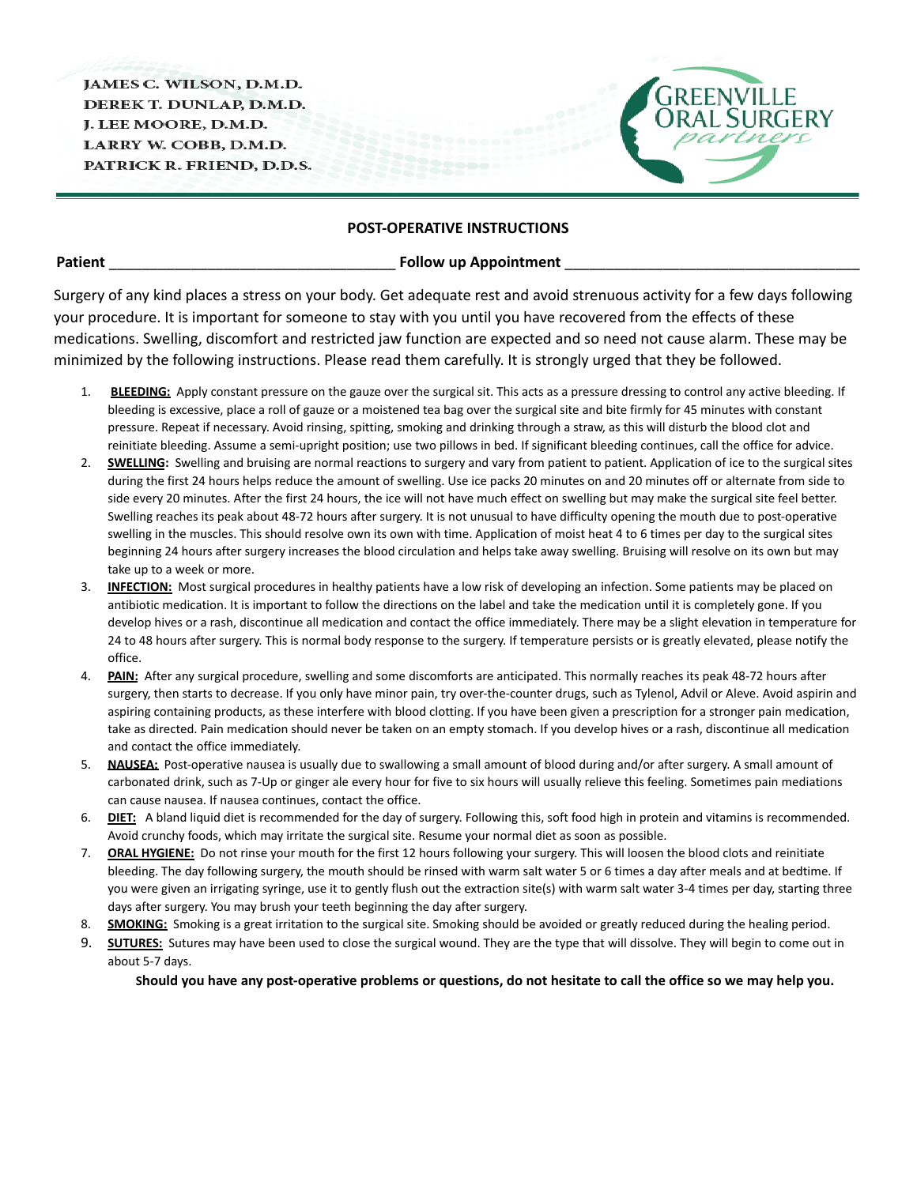JAMES C. WILSON, D.M.D. DEREK T. DUNLAP, D.M.D. J. LEE MOORE, D.M.D. LARRY W. COBB, D.M.D. PATRICK R. FRIEND, D.D.S.



## **POST-OPERATIVE INSTRUCTIONS**

**Patient** \_\_\_\_\_\_\_\_\_\_\_\_\_\_\_\_\_\_\_\_\_\_\_\_\_\_\_\_\_\_\_\_\_\_\_ **Follow up Appointment** \_\_\_\_\_\_\_\_\_\_\_\_\_\_\_\_\_\_\_\_\_\_\_\_\_\_\_\_\_\_\_\_\_\_\_\_

Surgery of any kind places a stress on your body. Get adequate rest and avoid strenuous activity for a few days following your procedure. It is important for someone to stay with you until you have recovered from the effects of these medications. Swelling, discomfort and restricted jaw function are expected and so need not cause alarm. These may be minimized by the following instructions. Please read them carefully. It is strongly urged that they be followed.

- 1. **BLEEDING:** Apply constant pressure on the gauze over the surgical sit. This acts as a pressure dressing to control any active bleeding. If bleeding is excessive, place a roll of gauze or a moistened tea bag over the surgical site and bite firmly for 45 minutes with constant pressure. Repeat if necessary. Avoid rinsing, spitting, smoking and drinking through a straw, as this will disturb the blood clot and reinitiate bleeding. Assume a semi-upright position; use two pillows in bed. If significant bleeding continues, call the office for advice.
- 2. **SWELLING:** Swelling and bruising are normal reactions to surgery and vary from patient to patient. Application of ice to the surgical sites during the first 24 hours helps reduce the amount of swelling. Use ice packs 20 minutes on and 20 minutes off or alternate from side to side every 20 minutes. After the first 24 hours, the ice will not have much effect on swelling but may make the surgical site feel better. Swelling reaches its peak about 48-72 hours after surgery. It is not unusual to have difficulty opening the mouth due to post-operative swelling in the muscles. This should resolve own its own with time. Application of moist heat 4 to 6 times per day to the surgical sites beginning 24 hours after surgery increases the blood circulation and helps take away swelling. Bruising will resolve on its own but may take up to a week or more.
- 3. **INFECTION:** Most surgical procedures in healthy patients have a low risk of developing an infection. Some patients may be placed on antibiotic medication. It is important to follow the directions on the label and take the medication until it is completely gone. If you develop hives or a rash, discontinue all medication and contact the office immediately. There may be a slight elevation in temperature for 24 to 48 hours after surgery. This is normal body response to the surgery. If temperature persists or is greatly elevated, please notify the office.
- 4. **PAIN:** After any surgical procedure, swelling and some discomforts are anticipated. This normally reaches its peak 48-72 hours after surgery, then starts to decrease. If you only have minor pain, try over-the-counter drugs, such as Tylenol, Advil or Aleve. Avoid aspirin and aspiring containing products, as these interfere with blood clotting. If you have been given a prescription for a stronger pain medication, take as directed. Pain medication should never be taken on an empty stomach. If you develop hives or a rash, discontinue all medication and contact the office immediately.
- 5. **NAUSEA:** Post-operative nausea is usually due to swallowing a small amount of blood during and/or after surgery. A small amount of carbonated drink, such as 7-Up or ginger ale every hour for five to six hours will usually relieve this feeling. Sometimes pain mediations can cause nausea. If nausea continues, contact the office.
- 6. **DIET:** A bland liquid diet is recommended for the day of surgery. Following this, soft food high in protein and vitamins is recommended. Avoid crunchy foods, which may irritate the surgical site. Resume your normal diet as soon as possible.
- 7. **ORAL HYGIENE:** Do not rinse your mouth for the first 12 hours following your surgery. This will loosen the blood clots and reinitiate bleeding. The day following surgery, the mouth should be rinsed with warm salt water 5 or 6 times a day after meals and at bedtime. If you were given an irrigating syringe, use it to gently flush out the extraction site(s) with warm salt water 3-4 times per day, starting three days after surgery. You may brush your teeth beginning the day after surgery.
- 8. **SMOKING:** Smoking is a great irritation to the surgical site. Smoking should be avoided or greatly reduced during the healing period.
- 9. **SUTURES:** Sutures may have been used to close the surgical wound. They are the type that will dissolve. They will begin to come out in about 5-7 days.

should you have any post-operative problems or questions, do not hesitate to call the office so we may help you.